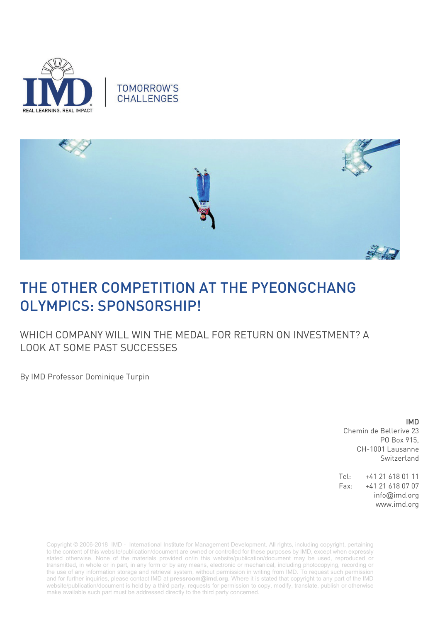





## THE OTHER COMPETITION AT THE PYEONGCHANG OLYMPICS: SPONSORSHIP!

WHICH COMPANY WILL WIN THE MEDAL FOR RETURN ON INVESTMENT? A LOOK AT SOME PAST SUCCESSES

By IMD Professor Dominique Turpin

## IMD

Chemin de Bellerive 23 PO Box 915, CH-1001 Lausanne Switzerland

Tel: +41 21 618 01 11 Fax: +41 21 618 07 07 info@imd.org www.imd.org

Copyright © 2006-2018 IMD - International Institute for Management Development. All rights, including copyright, pertaining to the content of this website/publication/document are owned or controlled for these purposes by IMD, except when expressly stated otherwise. None of the materials provided on/in this website/publication/document may be used, reproduced or transmitted, in whole or in part, in any form or by any means, electronic or mechanical, including photocopying, recording or the use of any information storage and retrieval system, without permission in writing from IMD. To request such permission and for further inquiries, please contact IMD at **[pressroom@imd.org](mailto:pressroom@imd.org)**. Where it is stated that copyright to any part of the IMD website/publication/document is held by a third party, requests for permission to copy, modify, translate, publish or otherwise make available such part must be addressed directly to the third party concerned.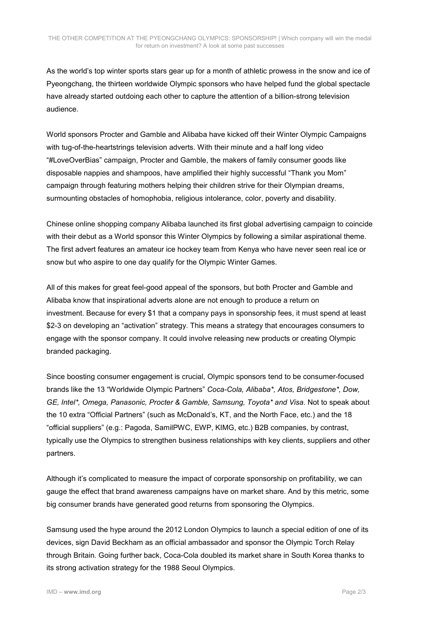As the world's top winter sports stars gear up for a month of athletic prowess in the snow and ice of Pyeongchang, the thirteen worldwide Olympic sponsors who have helped fund the global spectacle have already started outdoing each other to capture the attention of a billion-strong television audience.

World sponsors Procter and Gamble and Alibaba have kicked off their Winter Olympic Campaigns with tug-of-the-heartstrings television adverts. With their minute and a half long video "#LoveOverBias" campaign, Procter and Gamble, the makers of family consumer goods like disposable nappies and shampoos, have amplified their highly successful "Thank you Mom" campaign through featuring mothers helping their children strive for their Olympian dreams, surmounting obstacles of homophobia, religious intolerance, color, poverty and disability.

Chinese online shopping company Alibaba launched its first global advertising campaign to coincide with their debut as a World sponsor this Winter Olympics by following a similar aspirational theme. The first advert features an amateur ice hockey team from Kenya who have never seen real ice or snow but who aspire to one day qualify for the Olympic Winter Games.

All of this makes for great feel-good appeal of the sponsors, but both Procter and Gamble and Alibaba know that inspirational adverts alone are not enough to produce a return on investment. Because for every \$1 that a company pays in sponsorship fees, it must spend at least \$2-3 on developing an "activation" strategy. This means a strategy that encourages consumers to engage with the sponsor company. It could involve releasing new products or creating Olympic branded packaging.

Since boosting consumer engagement is crucial, Olympic sponsors tend to be consumer-focused brands like the 13 "Worldwide Olympic Partners" *Coca-Cola, Alibaba\*, Atos, Bridgestone\*, Dow, GE, Intel\*, Omega, Panasonic, Procter & Gamble, Samsung, Toyota\* and Visa*. Not to speak about the 10 extra "Official Partners" (such as McDonald's, KT, and the North Face, etc.) and the 18 "official suppliers" (e.g.: Pagoda, SamilPWC, EWP, KIMG, etc.) B2B companies, by contrast, typically use the Olympics to strengthen business relationships with key clients, suppliers and other partners.

Although it's complicated to measure the impact of corporate sponsorship on profitability, we can gauge the effect that brand awareness campaigns have on market share. And by this metric, some big consumer brands have generated good returns from sponsoring the Olympics.

Samsung used the hype around the 2012 London Olympics to launch a special edition of one of its devices, sign David Beckham as an official ambassador and sponsor the Olympic Torch Relay through Britain. Going further back, Coca-Cola doubled its market share in South Korea thanks to its strong activation strategy for the 1988 Seoul Olympics.